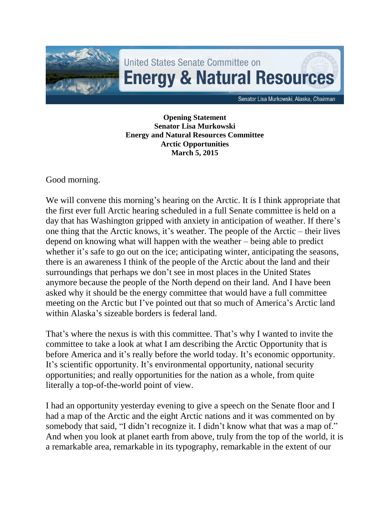

**Opening Statement Senator Lisa Murkowski Energy and Natural Resources Committee Arctic Opportunities March 5, 2015**

Good morning.

We will convene this morning's hearing on the Arctic. It is I think appropriate that the first ever full Arctic hearing scheduled in a full Senate committee is held on a day that has Washington gripped with anxiety in anticipation of weather. If there's one thing that the Arctic knows, it's weather. The people of the Arctic – their lives depend on knowing what will happen with the weather – being able to predict whether it's safe to go out on the ice; anticipating winter, anticipating the seasons, there is an awareness I think of the people of the Arctic about the land and their surroundings that perhaps we don't see in most places in the United States anymore because the people of the North depend on their land. And I have been asked why it should be the energy committee that would have a full committee meeting on the Arctic but I've pointed out that so much of America's Arctic land within Alaska's sizeable borders is federal land.

That's where the nexus is with this committee. That's why I wanted to invite the committee to take a look at what I am describing the Arctic Opportunity that is before America and it's really before the world today. It's economic opportunity. It's scientific opportunity. It's environmental opportunity, national security opportunities; and really opportunities for the nation as a whole, from quite literally a top-of-the-world point of view.

I had an opportunity yesterday evening to give a speech on the Senate floor and I had a map of the Arctic and the eight Arctic nations and it was commented on by somebody that said, "I didn't recognize it. I didn't know what that was a map of." And when you look at planet earth from above, truly from the top of the world, it is a remarkable area, remarkable in its typography, remarkable in the extent of our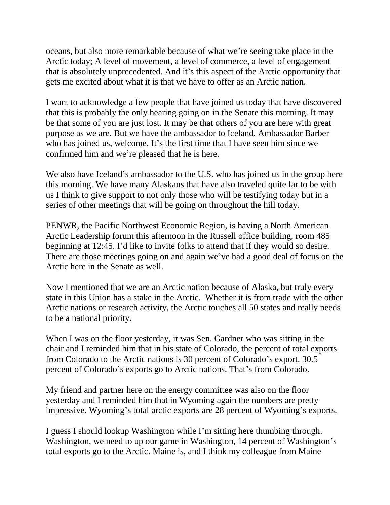oceans, but also more remarkable because of what we're seeing take place in the Arctic today; A level of movement, a level of commerce, a level of engagement that is absolutely unprecedented. And it's this aspect of the Arctic opportunity that gets me excited about what it is that we have to offer as an Arctic nation.

I want to acknowledge a few people that have joined us today that have discovered that this is probably the only hearing going on in the Senate this morning. It may be that some of you are just lost. It may be that others of you are here with great purpose as we are. But we have the ambassador to Iceland, Ambassador Barber who has joined us, welcome. It's the first time that I have seen him since we confirmed him and we're pleased that he is here.

We also have Iceland's ambassador to the U.S. who has joined us in the group here this morning. We have many Alaskans that have also traveled quite far to be with us I think to give support to not only those who will be testifying today but in a series of other meetings that will be going on throughout the hill today.

PENWR, the Pacific Northwest Economic Region, is having a North American Arctic Leadership forum this afternoon in the Russell office building, room 485 beginning at 12:45. I'd like to invite folks to attend that if they would so desire. There are those meetings going on and again we've had a good deal of focus on the Arctic here in the Senate as well.

Now I mentioned that we are an Arctic nation because of Alaska, but truly every state in this Union has a stake in the Arctic. Whether it is from trade with the other Arctic nations or research activity, the Arctic touches all 50 states and really needs to be a national priority.

When I was on the floor yesterday, it was Sen. Gardner who was sitting in the chair and I reminded him that in his state of Colorado, the percent of total exports from Colorado to the Arctic nations is 30 percent of Colorado's export. 30.5 percent of Colorado's exports go to Arctic nations. That's from Colorado.

My friend and partner here on the energy committee was also on the floor yesterday and I reminded him that in Wyoming again the numbers are pretty impressive. Wyoming's total arctic exports are 28 percent of Wyoming's exports.

I guess I should lookup Washington while I'm sitting here thumbing through. Washington, we need to up our game in Washington, 14 percent of Washington's total exports go to the Arctic. Maine is, and I think my colleague from Maine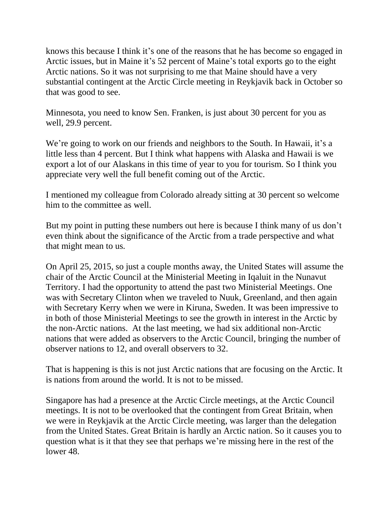knows this because I think it's one of the reasons that he has become so engaged in Arctic issues, but in Maine it's 52 percent of Maine's total exports go to the eight Arctic nations. So it was not surprising to me that Maine should have a very substantial contingent at the Arctic Circle meeting in Reykjavik back in October so that was good to see.

Minnesota, you need to know Sen. Franken, is just about 30 percent for you as well, 29.9 percent.

We're going to work on our friends and neighbors to the South. In Hawaii, it's a little less than 4 percent. But I think what happens with Alaska and Hawaii is we export a lot of our Alaskans in this time of year to you for tourism. So I think you appreciate very well the full benefit coming out of the Arctic.

I mentioned my colleague from Colorado already sitting at 30 percent so welcome him to the committee as well.

But my point in putting these numbers out here is because I think many of us don't even think about the significance of the Arctic from a trade perspective and what that might mean to us.

On April 25, 2015, so just a couple months away, the United States will assume the chair of the Arctic Council at the Ministerial Meeting in Iqaluit in the Nunavut Territory. I had the opportunity to attend the past two Ministerial Meetings. One was with Secretary Clinton when we traveled to Nuuk, Greenland, and then again with Secretary Kerry when we were in Kiruna, Sweden. It was been impressive to in both of those Ministerial Meetings to see the growth in interest in the Arctic by the non-Arctic nations. At the last meeting, we had six additional non-Arctic nations that were added as observers to the Arctic Council, bringing the number of observer nations to 12, and overall observers to 32.

That is happening is this is not just Arctic nations that are focusing on the Arctic. It is nations from around the world. It is not to be missed.

Singapore has had a presence at the Arctic Circle meetings, at the Arctic Council meetings. It is not to be overlooked that the contingent from Great Britain, when we were in Reykjavik at the Arctic Circle meeting, was larger than the delegation from the United States. Great Britain is hardly an Arctic nation. So it causes you to question what is it that they see that perhaps we're missing here in the rest of the lower 48.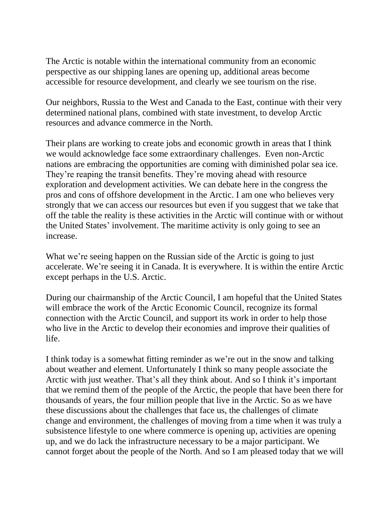The Arctic is notable within the international community from an economic perspective as our shipping lanes are opening up, additional areas become accessible for resource development, and clearly we see tourism on the rise.

Our neighbors, Russia to the West and Canada to the East, continue with their very determined national plans, combined with state investment, to develop Arctic resources and advance commerce in the North.

Their plans are working to create jobs and economic growth in areas that I think we would acknowledge face some extraordinary challenges. Even non-Arctic nations are embracing the opportunities are coming with diminished polar sea ice. They're reaping the transit benefits. They're moving ahead with resource exploration and development activities. We can debate here in the congress the pros and cons of offshore development in the Arctic. I am one who believes very strongly that we can access our resources but even if you suggest that we take that off the table the reality is these activities in the Arctic will continue with or without the United States' involvement. The maritime activity is only going to see an increase.

What we're seeing happen on the Russian side of the Arctic is going to just accelerate. We're seeing it in Canada. It is everywhere. It is within the entire Arctic except perhaps in the U.S. Arctic.

During our chairmanship of the Arctic Council, I am hopeful that the United States will embrace the work of the Arctic Economic Council, recognize its formal connection with the Arctic Council, and support its work in order to help those who live in the Arctic to develop their economies and improve their qualities of life.

I think today is a somewhat fitting reminder as we're out in the snow and talking about weather and element. Unfortunately I think so many people associate the Arctic with just weather. That's all they think about. And so I think it's important that we remind them of the people of the Arctic, the people that have been there for thousands of years, the four million people that live in the Arctic. So as we have these discussions about the challenges that face us, the challenges of climate change and environment, the challenges of moving from a time when it was truly a subsistence lifestyle to one where commerce is opening up, activities are opening up, and we do lack the infrastructure necessary to be a major participant. We cannot forget about the people of the North. And so I am pleased today that we will